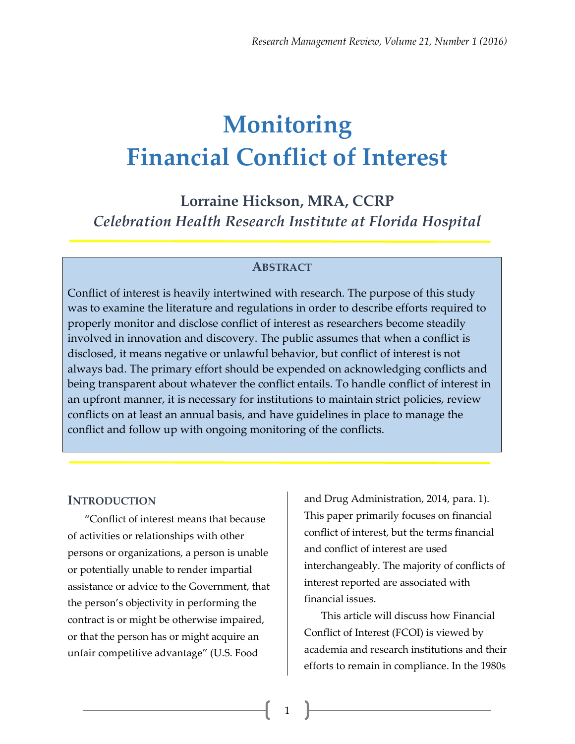# **Monitoring Financial Conflict of Interest**

**Lorraine Hickson, MRA, CCRP** *Celebration Health Research Institute at Florida Hospital*

#### **ABSTRACT**

Conflict of interest is heavily intertwined with research. The purpose of this study was to examine the literature and regulations in order to describe efforts required to properly monitor and disclose conflict of interest as researchers become steadily involved in innovation and discovery. The public assumes that when a conflict is disclosed, it means negative or unlawful behavior, but conflict of interest is not always bad. The primary effort should be expended on acknowledging conflicts and being transparent about whatever the conflict entails. To handle conflict of interest in an upfront manner, it is necessary for institutions to maintain strict policies, review conflicts on at least an annual basis, and have guidelines in place to manage the conflict and follow up with ongoing monitoring of the conflicts.

1

#### **INTRODUCTION**

"Conflict of interest means that because of activities or relationships with other persons or organizations, a person is unable or potentially unable to render impartial assistance or advice to the Government, that the person's objectivity in performing the contract is or might be otherwise impaired, or that the person has or might acquire an unfair competitive advantage" (U.S. Food

and Drug Administration, 2014, para. 1). This paper primarily focuses on financial conflict of interest, but the terms financial and conflict of interest are used interchangeably. The majority of conflicts of interest reported are associated with financial issues.

This article will discuss how Financial Conflict of Interest (FCOI) is viewed by academia and research institutions and their efforts to remain in compliance. In the 1980s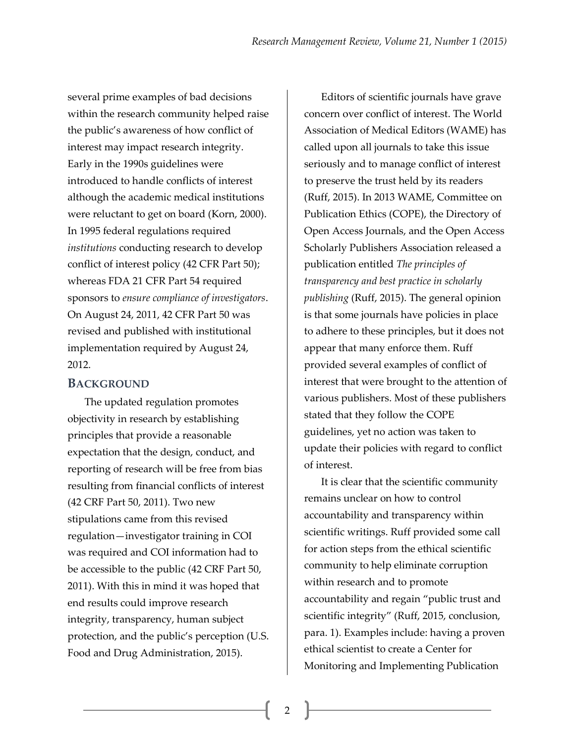several prime examples of bad decisions within the research community helped raise the public's awareness of how conflict of interest may impact research integrity. Early in the 1990s guidelines were introduced to handle conflicts of interest although the academic medical institutions were reluctant to get on board (Korn, 2000). In 1995 federal regulations required *institutions* conducting research to develop conflict of interest policy (42 CFR Part 50); whereas FDA 21 CFR Part 54 required sponsors to *ensure compliance of investigators*. On August 24, 2011, 42 CFR Part 50 was revised and published with institutional implementation required by August 24, 2012.

#### **BACKGROUND**

The updated regulation promotes objectivity in research by establishing principles that provide a reasonable expectation that the design, conduct, and reporting of research will be free from bias resulting from financial conflicts of interest (42 CRF Part 50, 2011). Two new stipulations came from this revised regulation—investigator training in COI was required and COI information had to be accessible to the public (42 CRF Part 50, 2011). With this in mind it was hoped that end results could improve research integrity, transparency, human subject protection, and the public's perception (U.S. Food and Drug Administration, 2015).

Editors of scientific journals have grave concern over conflict of interest. The World Association of Medical Editors (WAME) has called upon all journals to take this issue seriously and to manage conflict of interest to preserve the trust held by its readers (Ruff, 2015). In 2013 WAME, Committee on Publication Ethics (COPE), the Directory of Open Access Journals, and the Open Access Scholarly Publishers Association released a publication entitled *The principles of transparency and best practice in scholarly publishing* (Ruff, 2015). The general opinion is that some journals have policies in place to adhere to these principles, but it does not appear that many enforce them. Ruff provided several examples of conflict of interest that were brought to the attention of various publishers. Most of these publishers stated that they follow the COPE guidelines, yet no action was taken to update their policies with regard to conflict of interest.

It is clear that the scientific community remains unclear on how to control accountability and transparency within scientific writings. Ruff provided some call for action steps from the ethical scientific community to help eliminate corruption within research and to promote accountability and regain "public trust and scientific integrity" (Ruff, 2015, conclusion, para. 1). Examples include: having a proven ethical scientist to create a Center for Monitoring and Implementing Publication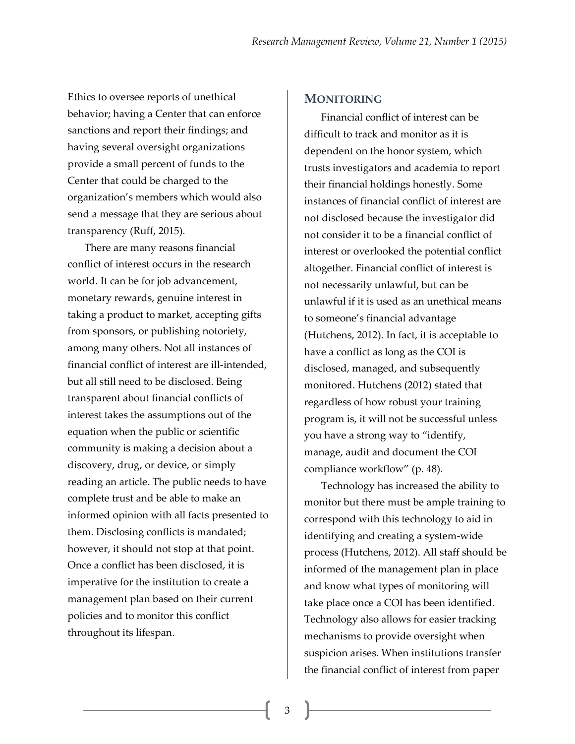Ethics to oversee reports of unethical behavior; having a Center that can enforce sanctions and report their findings; and having several oversight organizations provide a small percent of funds to the Center that could be charged to the organization's members which would also send a message that they are serious about transparency (Ruff, 2015).

There are many reasons financial conflict of interest occurs in the research world. It can be for job advancement, monetary rewards, genuine interest in taking a product to market, accepting gifts from sponsors, or publishing notoriety, among many others. Not all instances of financial conflict of interest are ill-intended, but all still need to be disclosed. Being transparent about financial conflicts of interest takes the assumptions out of the equation when the public or scientific community is making a decision about a discovery, drug, or device, or simply reading an article. The public needs to have complete trust and be able to make an informed opinion with all facts presented to them. Disclosing conflicts is mandated; however, it should not stop at that point. Once a conflict has been disclosed, it is imperative for the institution to create a management plan based on their current policies and to monitor this conflict throughout its lifespan.

#### **MONITORING**

Financial conflict of interest can be difficult to track and monitor as it is dependent on the honor system, which trusts investigators and academia to report their financial holdings honestly. Some instances of financial conflict of interest are not disclosed because the investigator did not consider it to be a financial conflict of interest or overlooked the potential conflict altogether. Financial conflict of interest is not necessarily unlawful, but can be unlawful if it is used as an unethical means to someone's financial advantage (Hutchens, 2012). In fact, it is acceptable to have a conflict as long as the COI is disclosed, managed, and subsequently monitored. Hutchens (2012) stated that regardless of how robust your training program is, it will not be successful unless you have a strong way to "identify, manage, audit and document the COI compliance workflow" (p. 48).

Technology has increased the ability to monitor but there must be ample training to correspond with this technology to aid in identifying and creating a system-wide process (Hutchens, 2012). All staff should be informed of the management plan in place and know what types of monitoring will take place once a COI has been identified. Technology also allows for easier tracking mechanisms to provide oversight when suspicion arises. When institutions transfer the financial conflict of interest from paper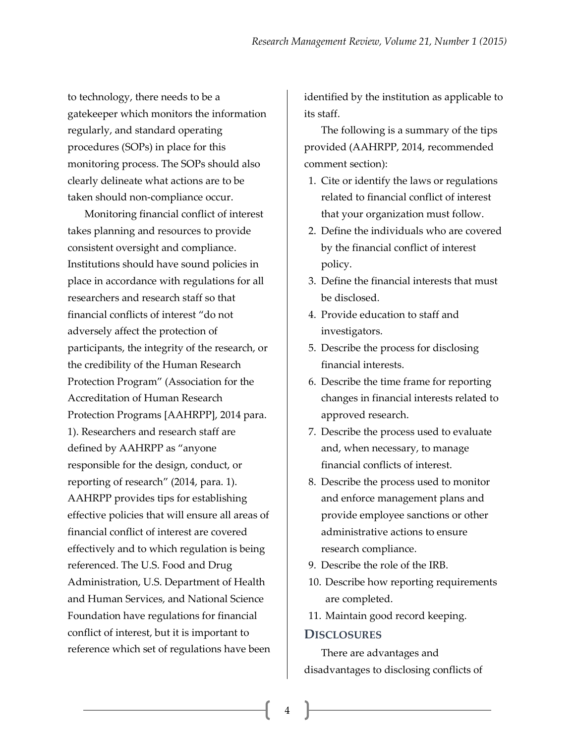to technology, there needs to be a gatekeeper which monitors the information regularly, and standard operating procedures (SOPs) in place for this monitoring process. The SOPs should also clearly delineate what actions are to be taken should non-compliance occur.

Monitoring financial conflict of interest takes planning and resources to provide consistent oversight and compliance. Institutions should have sound policies in place in accordance with regulations for all researchers and research staff so that financial conflicts of interest "do not adversely affect the protection of participants, the integrity of the research, or the credibility of the Human Research Protection Program" (Association for the Accreditation of Human Research Protection Programs [AAHRPP], 2014 para. 1). Researchers and research staff are defined by AAHRPP as "anyone responsible for the design, conduct, or reporting of research" (2014, para. 1). AAHRPP provides tips for establishing effective policies that will ensure all areas of financial conflict of interest are covered effectively and to which regulation is being referenced. The U.S. Food and Drug Administration, U.S. Department of Health and Human Services, and National Science Foundation have regulations for financial conflict of interest, but it is important to reference which set of regulations have been identified by the institution as applicable to its staff.

The following is a summary of the tips provided (AAHRPP, 2014, recommended comment section):

- 1. Cite or identify the laws or regulations related to financial conflict of interest that your organization must follow.
- 2. Define the individuals who are covered by the financial conflict of interest policy.
- 3. Define the financial interests that must be disclosed.
- 4. Provide education to staff and investigators.
- 5. Describe the process for disclosing financial interests.
- 6. Describe the time frame for reporting changes in financial interests related to approved research.
- 7. Describe the process used to evaluate and, when necessary, to manage financial conflicts of interest.
- 8. Describe the process used to monitor and enforce management plans and provide employee sanctions or other administrative actions to ensure research compliance.
- 9. Describe the role of the IRB.
- 10. Describe how reporting requirements are completed.
- 11. Maintain good record keeping.

#### **DISCLOSURES**

There are advantages and disadvantages to disclosing conflicts of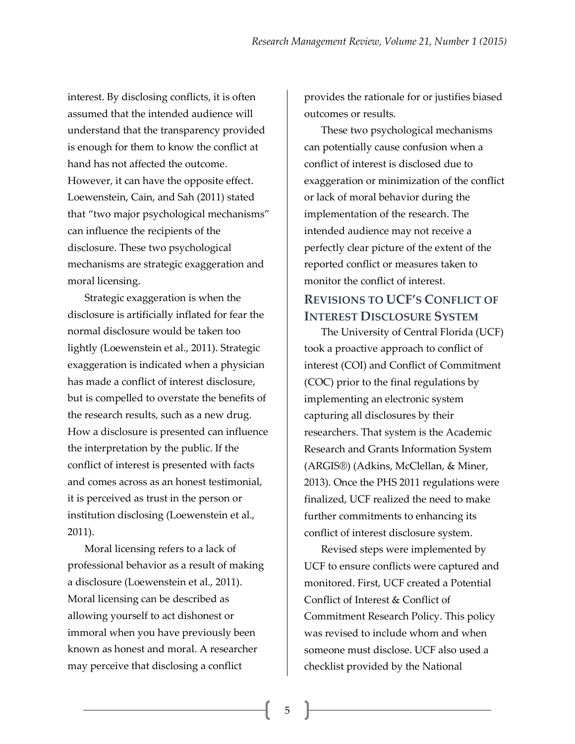interest. By disclosing conflicts, it is often assumed that the intended audience will understand that the transparency provided is enough for them to know the conflict at hand has not affected the outcome. However, it can have the opposite effect. Loewenstein, Cain, and Sah (2011) stated that "two major psychological mechanisms" can influence the recipients of the disclosure. These two psychological mechanisms are strategic exaggeration and moral licensing.

Strategic exaggeration is when the disclosure is artificially inflated for fear the normal disclosure would be taken too lightly (Loewenstein et al., 2011). Strategic exaggeration is indicated when a physician has made a conflict of interest disclosure, but is compelled to overstate the benefits of the research results, such as a new drug. How a disclosure is presented can influence the interpretation by the public. If the conflict of interest is presented with facts and comes across as an honest testimonial, it is perceived as trust in the person or institution disclosing (Loewenstein et al., 2011).

Moral licensing refers to a lack of professional behavior as a result of making a disclosure (Loewenstein et al., 2011). Moral licensing can be described as allowing yourself to act dishonest or immoral when you have previously been known as honest and moral. A researcher may perceive that disclosing a conflict

provides the rationale for or justifies biased outcomes or results.

These two psychological mechanisms can potentially cause confusion when a conflict of interest is disclosed due to exaggeration or minimization of the conflict or lack of moral behavior during the implementation of the research. The intended audience may not receive a perfectly clear picture of the extent of the reported conflict or measures taken to monitor the conflict of interest.

## **REVISIONS TO UCF'S CONFLICT OF INTEREST DISCLOSURE SYSTEM**

The University of Central Florida (UCF) took a proactive approach to conflict of interest (COI) and Conflict of Commitment (COC) prior to the final regulations by implementing an electronic system capturing all disclosures by their researchers. That system is the Academic Research and Grants Information System (ARGIS®) (Adkins, McClellan, & Miner, 2013). Once the PHS 2011 regulations were finalized, UCF realized the need to make further commitments to enhancing its conflict of interest disclosure system.

Revised steps were implemented by UCF to ensure conflicts were captured and monitored. First, UCF created a Potential Conflict of Interest & Conflict of Commitment Research Policy. This policy was revised to include whom and when someone must disclose. UCF also used a checklist provided by the National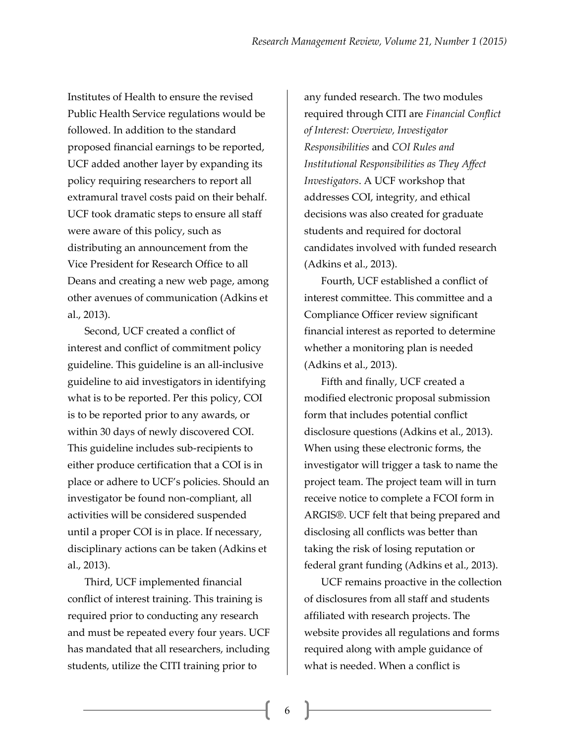Institutes of Health to ensure the revised Public Health Service regulations would be followed. In addition to the standard proposed financial earnings to be reported, UCF added another layer by expanding its policy requiring researchers to report all extramural travel costs paid on their behalf. UCF took dramatic steps to ensure all staff were aware of this policy, such as distributing an announcement from the Vice President for Research Office to all Deans and creating a new web page, among other avenues of communication (Adkins et al., 2013).

Second, UCF created a conflict of interest and conflict of commitment policy guideline. This guideline is an all-inclusive guideline to aid investigators in identifying what is to be reported. Per this policy, COI is to be reported prior to any awards, or within 30 days of newly discovered COI. This guideline includes sub-recipients to either produce certification that a COI is in place or adhere to UCF's policies. Should an investigator be found non-compliant, all activities will be considered suspended until a proper COI is in place. If necessary, disciplinary actions can be taken (Adkins et al., 2013).

Third, UCF implemented financial conflict of interest training. This training is required prior to conducting any research and must be repeated every four years. UCF has mandated that all researchers, including students, utilize the CITI training prior to

any funded research. The two modules required through CITI are *Financial Conflict of Interest: Overview, Investigator Responsibilities* and *COI Rules and Institutional Responsibilities as They Affect Investigators*. A UCF workshop that addresses COI, integrity, and ethical decisions was also created for graduate students and required for doctoral candidates involved with funded research (Adkins et al., 2013).

Fourth, UCF established a conflict of interest committee. This committee and a Compliance Officer review significant financial interest as reported to determine whether a monitoring plan is needed (Adkins et al., 2013).

Fifth and finally, UCF created a modified electronic proposal submission form that includes potential conflict disclosure questions (Adkins et al., 2013). When using these electronic forms, the investigator will trigger a task to name the project team. The project team will in turn receive notice to complete a FCOI form in ARGIS®. UCF felt that being prepared and disclosing all conflicts was better than taking the risk of losing reputation or federal grant funding (Adkins et al., 2013).

UCF remains proactive in the collection of disclosures from all staff and students affiliated with research projects. The website provides all regulations and forms required along with ample guidance of what is needed. When a conflict is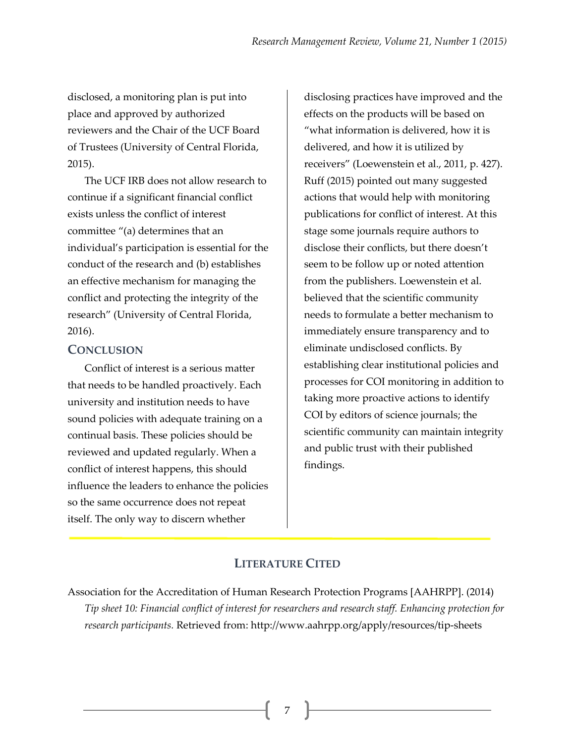disclosed, a monitoring plan is put into place and approved by authorized reviewers and the Chair of the UCF Board of Trustees (University of Central Florida, 2015).

The UCF IRB does not allow research to continue if a significant financial conflict exists unless the conflict of interest committee "(a) determines that an individual's participation is essential for the conduct of the research and (b) establishes an effective mechanism for managing the conflict and protecting the integrity of the research" (University of Central Florida, 2016).

### **CONCLUSION**

Conflict of interest is a serious matter that needs to be handled proactively. Each university and institution needs to have sound policies with adequate training on a continual basis. These policies should be reviewed and updated regularly. When a conflict of interest happens, this should influence the leaders to enhance the policies so the same occurrence does not repeat itself. The only way to discern whether

disclosing practices have improved and the effects on the products will be based on "what information is delivered, how it is delivered, and how it is utilized by receivers" (Loewenstein et al., 2011, p. 427). Ruff (2015) pointed out many suggested actions that would help with monitoring publications for conflict of interest. At this stage some journals require authors to disclose their conflicts, but there doesn't seem to be follow up or noted attention from the publishers. Loewenstein et al. believed that the scientific community needs to formulate a better mechanism to immediately ensure transparency and to eliminate undisclosed conflicts. By establishing clear institutional policies and processes for COI monitoring in addition to taking more proactive actions to identify COI by editors of science journals; the scientific community can maintain integrity and public trust with their published findings.

## **LITERATURE CITED**

Association for the Accreditation of Human Research Protection Programs [AAHRPP]. (2014) *Tip sheet 10: Financial conflict of interest for researchers and research staff. Enhancing protection for research participants.* Retrieved from: http://www.aahrpp.org/apply/resources/tip-sheets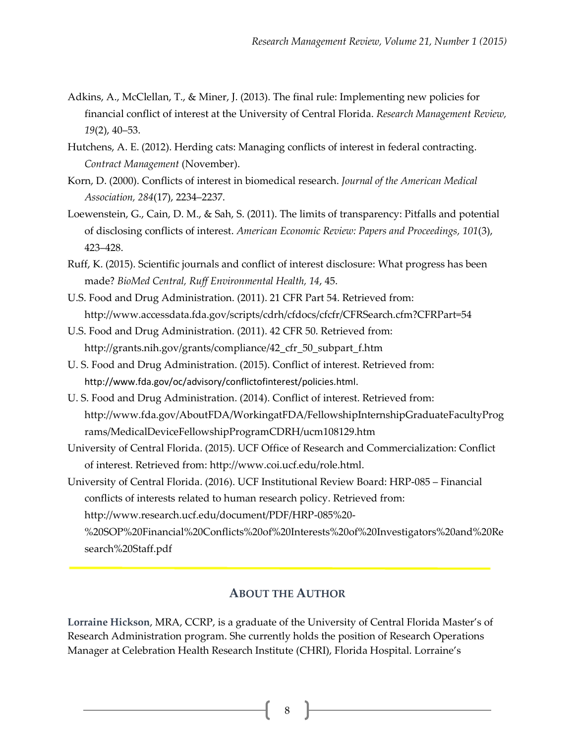- Adkins, A., McClellan, T., & Miner, J. (2013). The final rule: Implementing new policies for financial conflict of interest at the University of Central Florida. *Research Management Review, 19*(2), 40–53.
- Hutchens, A. E. (2012). Herding cats: Managing conflicts of interest in federal contracting. *Contract Management* (November).
- Korn, D. (2000). Conflicts of interest in biomedical research. *Journal of the American Medical Association, 284*(17), 2234–2237.
- Loewenstein, G., Cain, D. M., & Sah, S. (2011). The limits of transparency: Pitfalls and potential of disclosing conflicts of interest. *American Economic Review: Papers and Proceedings, 101*(3), 423–428.
- Ruff, K. (2015). Scientific journals and conflict of interest disclosure: What progress has been made? *BioMed Central, Ruff Environmental Health, 14*, 45.
- U.S. Food and Drug Administration. (2011). 21 CFR Part 54. Retrieved from: http://www.accessdata.fda.gov/scripts/cdrh/cfdocs/cfcfr/CFRSearch.cfm?CFRPart=54
- U.S. Food and Drug Administration. (2011). 42 CFR 50. Retrieved from: http://grants.nih.gov/grants/compliance/42\_cfr\_50\_subpart\_f.htm
- U. S. Food and Drug Administration. (2015). Conflict of interest. Retrieved from: http://www.fda.gov/oc/advisory/conflictofinterest/policies.html.
- U. S. Food and Drug Administration. (2014). Conflict of interest. Retrieved from: http://www.fda.gov/AboutFDA/WorkingatFDA/FellowshipInternshipGraduateFacultyProg rams/MedicalDeviceFellowshipProgramCDRH/ucm108129.htm
- University of Central Florida. (2015). UCF Office of Research and Commercialization: Conflict of interest. Retrieved from: http://www.coi.ucf.edu/role.html.
- University of Central Florida. (2016). UCF Institutional Review Board: HRP-085 Financial conflicts of interests related to human research policy. Retrieved from: http://www.research.ucf.edu/document/PDF/HRP-085%20-

%20SOP%20Financial%20Conflicts%20of%20Interests%20of%20Investigators%20and%20Re search%20Staff.pdf

## **ABOUT THE AUTHOR**

**Lorraine Hickson**, MRA, CCRP, is a graduate of the University of Central Florida Master's of Research Administration program. She currently holds the position of Research Operations Manager at Celebration Health Research Institute (CHRI), Florida Hospital. Lorraine's